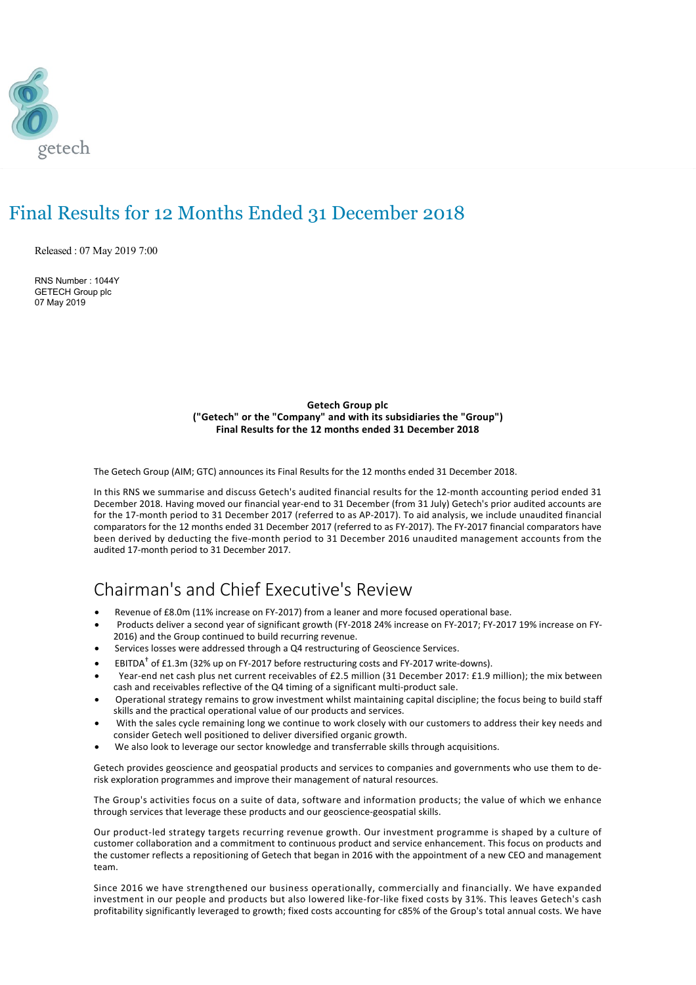

# Final Results for 12 Months Ended 31 December 2018

Released : 07 May 2019 7:00

RNS Number : 1044Y GETECH Group plc 07 May 2019

> **Getech Group plc ("Getech" or the "Company" and with its subsidiaries the "Group") Final Results for the 12 months ended 31 December 2018**

The Getech Group (AIM; GTC) announces its Final Results for the 12 months ended 31 December 2018.

In this RNS we summarise and discuss Getech's audited financial results for the 12‐month accounting period ended 31 December 2018. Having moved our financial year‐end to 31 December (from 31 July) Getech's prior audited accounts are for the 17‐month period to 31 December 2017 (referred to as AP‐2017). To aid analysis, we include unaudited financial comparators for the 12 months ended 31 December 2017 (referred to as FY‐2017). The FY‐2017 financial comparators have been derived by deducting the five‐month period to 31 December 2016 unaudited management accounts from the audited 17‐month period to 31 December 2017.

## Chairman's and Chief Executive's Review

- · Revenue of £8.0m (11% increase on FY‐2017) from a leaner and more focused operational base.
- · Products deliver a second year of significant growth (FY‐2018 24% increase on FY‐2017; FY‐2017 19% increase on FY‐ 2016) and the Group continued to build recurring revenue.
- Services losses were addressed through a Q4 restructuring of Geoscience Services.
- **•** EBITDA<sup>†</sup> of £1.3m (32% up on FY-2017 before restructuring costs and FY-2017 write-downs).
- Year-end net cash plus net current receivables of £2.5 million (31 December 2017: £1.9 million); the mix between cash and receivables reflective of the Q4 timing of a significant multi‐product sale.
- · Operational strategy remains to grow investment whilst maintaining capital discipline; the focus being to build staff skills and the practical operational value of our products and services.
- With the sales cycle remaining long we continue to work closely with our customers to address their key needs and consider Getech well positioned to deliver diversified organic growth.
- We also look to leverage our sector knowledge and transferrable skills through acquisitions.

Getech provides geoscience and geospatial products and services to companies and governments who use them to de‐ risk exploration programmes and improve their management of natural resources.

The Group's activities focus on a suite of data, software and information products; the value of which we enhance through services that leverage these products and our geoscience‐geospatial skills.

Our product‐led strategy targets recurring revenue growth. Our investment programme is shaped by a culture of customer collaboration and a commitment to continuous product and service enhancement. This focus on products and the customer reflects a repositioning of Getech that began in 2016 with the appointment of a new CEO and management team.

Since 2016 we have strengthened our business operationally, commercially and financially. We have expanded investment in our people and products but also lowered like-for-like fixed costs by 31%. This leaves Getech's cash profitability significantly leveraged to growth; fixed costs accounting for c85% of the Group's total annual costs. We have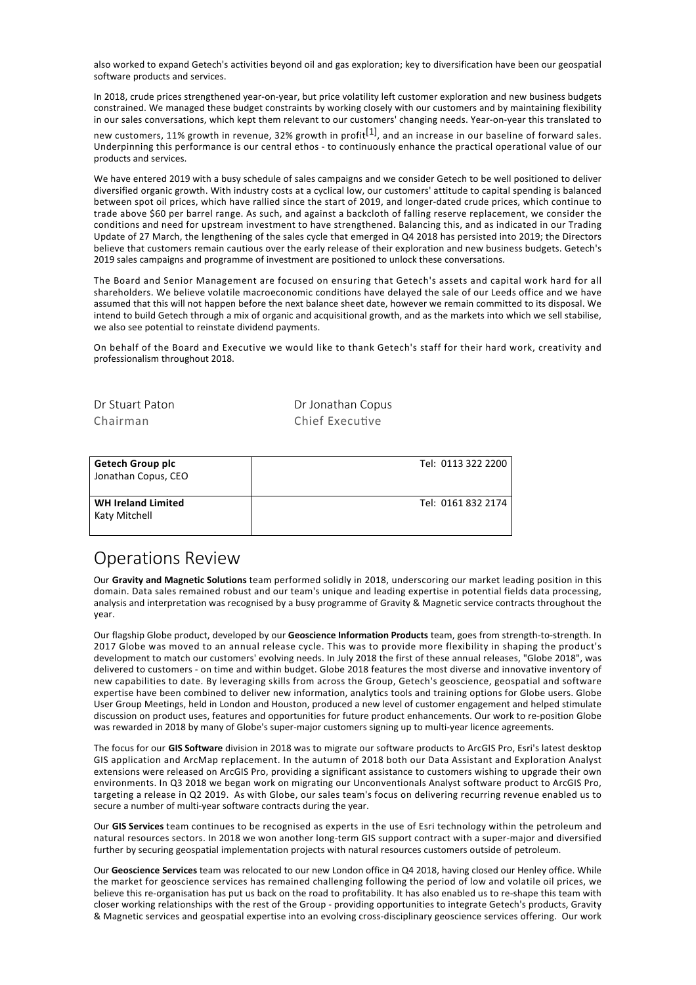also worked to expand Getech's activities beyond oil and gas exploration; key to diversification have been our geospatial software products and services.

In 2018, crude prices strengthened year-on-year, but price volatility left customer exploration and new business budgets constrained. We managed these budget constraints by working closely with our customers and by maintaining flexibility in our sales conversations, which kept them relevant to our customers' changing needs. Year‐on‐year this translated to

new customers, 11% growth in revenue, 32% growth in profit<sup>[1]</sup>, and an increase in our baseline of forward sales. Underpinning this performance is our central ethos ‐ to continuously enhance the practical operational value of our products and services.

We have entered 2019 with a busy schedule of sales campaigns and we consider Getech to be well positioned to deliver diversified organic growth. With industry costs at a cyclical low, our customers' attitude to capital spending is balanced between spot oil prices, which have rallied since the start of 2019, and longer-dated crude prices, which continue to trade above \$60 per barrel range. As such, and against a backcloth of falling reserve replacement, we consider the conditions and need for upstream investment to have strengthened. Balancing this, and as indicated in our Trading Update of 27 March, the lengthening of the sales cycle that emerged in Q4 2018 has persisted into 2019; the Directors believe that customers remain cautious over the early release of their exploration and new business budgets. Getech's 2019 sales campaigns and programme of investment are positioned to unlock these conversations.

The Board and Senior Management are focused on ensuring that Getech's assets and capital work hard for all shareholders. We believe volatile macroeconomic conditions have delayed the sale of our Leeds office and we have assumed that this will not happen before the next balance sheet date, however we remain committed to its disposal. We intend to build Getech through a mix of organic and acquisitional growth, and as the markets into which we sell stabilise, we also see potential to reinstate dividend payments.

On behalf of the Board and Executive we would like to thank Getech's staff for their hard work, creativity and professionalism throughout 2018.

| Dr Stuart Paton | Dr Jonathan Copus |
|-----------------|-------------------|
| Chairman        | Chief Executive   |
|                 |                   |

| Getech Group plc<br>Jonathan Copus, CEO    | Tel: 0113 322 2200 |
|--------------------------------------------|--------------------|
| <b>WH Ireland Limited</b><br>Katy Mitchell | Tel: 0161 832 2174 |

### Operations Review

Our **Gravity and Magnetic Solutions** team performed solidly in 2018, underscoring our market leading position in this domain. Data sales remained robust and our team's unique and leading expertise in potential fields data processing, analysis and interpretation was recognised by a busy programme of Gravity & Magnetic service contracts throughout the year.

Our flagship Globe product, developed by our **Geoscience Information Products** team, goes from strength‐to‐strength. In 2017 Globe was moved to an annual release cycle. This was to provide more flexibility in shaping the product's development to match our customers' evolving needs. In July 2018 the first of these annual releases, "Globe 2018", was delivered to customers ‐ on time and within budget. Globe 2018 features the most diverse and innovative inventory of new capabilities to date. By leveraging skills from across the Group, Getech's geoscience, geospatial and software expertise have been combined to deliver new information, analytics tools and training options for Globe users. Globe User Group Meetings, held in London and Houston, produced a new level of customer engagement and helped stimulate discussion on product uses, features and opportunities for future product enhancements. Our work to re‐position Globe was rewarded in 2018 by many of Globe's super-major customers signing up to multi-year licence agreements.

The focus for our **GIS Software** division in 2018 was to migrate our software products to ArcGIS Pro, Esri's latest desktop GIS application and ArcMap replacement. In the autumn of 2018 both our Data Assistant and Exploration Analyst extensions were released on ArcGIS Pro, providing a significant assistance to customers wishing to upgrade their own environments. In Q3 2018 we began work on migrating our Unconventionals Analyst software product to ArcGIS Pro, targeting a release in Q2 2019. As with Globe, our sales team's focus on delivering recurring revenue enabled us to secure a number of multi‐year software contracts during the year.

Our **GIS Services** team continues to be recognised as experts in the use of Esri technology within the petroleum and natural resources sectors. In 2018 we won another long-term GIS support contract with a super-major and diversified further by securing geospatial implementation projects with natural resources customers outside of petroleum.

Our **Geoscience Services** team was relocated to our new London office in Q4 2018, having closed our Henley office. While the market for geoscience services has remained challenging following the period of low and volatile oil prices, we believe this re-organisation has put us back on the road to profitability. It has also enabled us to re-shape this team with closer working relationships with the rest of the Group ‐ providing opportunities to integrate Getech's products, Gravity & Magnetic services and geospatial expertise into an evolving cross‐disciplinary geoscience services offering. Our work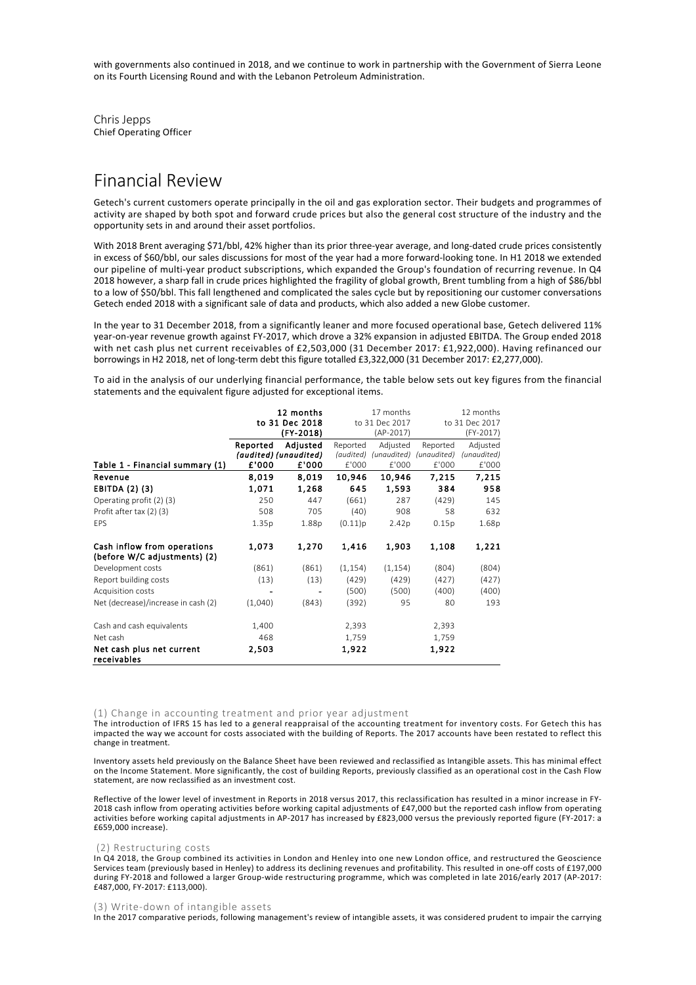with governments also continued in 2018, and we continue to work in partnership with the Government of Sierra Leone on its Fourth Licensing Round and with the Lebanon Petroleum Administration.

Chris Jepps Chief Operating Officer

### Financial Review

Getech's current customers operate principally in the oil and gas exploration sector. Their budgets and programmes of activity are shaped by both spot and forward crude prices but also the general cost structure of the industry and the opportunity sets in and around their asset portfolios.

With 2018 Brent averaging \$71/bbl, 42% higher than its prior three-year average, and long-dated crude prices consistently in excess of \$60/bbl, our sales discussions for most of the year had a more forward‐looking tone. In H1 2018 we extended our pipeline of multi-year product subscriptions, which expanded the Group's foundation of recurring revenue. In Q4 2018 however, a sharp fall in crude prices highlighted the fragility of global growth, Brent tumbling from a high of \$86/bbl to a low of \$50/bbl. This fall lengthened and complicated the sales cycle but by repositioning our customer conversations Getech ended 2018 with a significant sale of data and products, which also added a new Globe customer.

In the year to 31 December 2018, from a significantly leaner and more focused operational base, Getech delivered 11% year‐on‐year revenue growth against FY‐2017, which drove a 32% expansion in adjusted EBITDA. The Group ended 2018 with net cash plus net current receivables of £2,503,000 (31 December 2017: £1,922,000). Having refinanced our borrowings in H2 2018, net of long-term debt this figure totalled £3,322,000 (31 December 2017: £2,277,000).

To aid in the analysis of our underlying financial performance, the table below sets out key figures from the financial statements and the equivalent figure adjusted for exceptional items.

|                                                             |          | 12 months             | 17 months |                | 12 months   |                |
|-------------------------------------------------------------|----------|-----------------------|-----------|----------------|-------------|----------------|
|                                                             |          | to 31 Dec 2018        |           | to 31 Dec 2017 |             | to 31 Dec 2017 |
|                                                             |          | (FY-2018)             |           | (AP-2017)      |             | (FY-2017)      |
|                                                             | Reported | Adiusted              | Reported  | Adjusted       | Reported    | Adjusted       |
|                                                             |          | (audited) (unaudited) | (audited) | (unaudited)    | (unaudited) | (unaudited)    |
| Table 1 - Financial summary (1)                             | £'000    | £'000                 | £'000     | £'000          | £'000       | £'000          |
| Revenue                                                     | 8,019    | 8,019                 | 10,946    | 10,946         | 7,215       | 7,215          |
| EBITDA (2) (3)                                              | 1,071    | 1,268                 | 645       | 1,593          | 384         | 958            |
| Operating profit (2) (3)                                    | 250      | 447                   | (661)     | 287            | (429)       | 145            |
| Profit after tax (2) (3)                                    | 508      | 705                   | (40)      | 908            | 58          | 632            |
| EPS                                                         | 1.35p    | 1.88p                 | (0.11)p   | 2.42p          | 0.15p       | 1.68p          |
| Cash inflow from operations<br>(before W/C adjustments) (2) | 1,073    | 1,270                 | 1,416     | 1,903          | 1,108       | 1,221          |
| Development costs                                           | (861)    | (861)                 | (1, 154)  | (1, 154)       | (804)       | (804)          |
| Report building costs                                       | (13)     | (13)                  | (429)     | (429)          | (427)       | (427)          |
| Acquisition costs                                           |          |                       | (500)     | (500)          | (400)       | (400)          |
| Net (decrease)/increase in cash (2)                         | (1,040)  | (843)                 | (392)     | 95             | 80          | 193            |
| Cash and cash equivalents                                   | 1,400    |                       | 2,393     |                | 2,393       |                |
| Net cash                                                    | 468      |                       | 1,759     |                | 1,759       |                |
| Net cash plus net current<br>receivables                    | 2,503    |                       | 1,922     |                | 1,922       |                |

#### (1) Change in accounting treatment and prior year adjustment

The introduction of IFRS 15 has led to a general reappraisal of the accounting treatment for inventory costs. For Getech this has impacted the way we account for costs associated with the building of Reports. The 2017 accounts have been restated to reflect this change in treatment.

Inventory assets held previously on the Balance Sheet have been reviewed and reclassified as Intangible assets. This has minimal effect on the Income Statement. More significantly, the cost of building Reports, previously classified as an operational cost in the Cash Flow statement, are now reclassified as an investment cost.

Reflective of the lower level of investment in Reports in 2018 versus 2017, this reclassification has resulted in a minor increase in FY‐ 2018 cash inflow from operating activities before working capital adjustments of £47,000 but the reported cash inflow from operating activities before working capital adjustments in AP‐2017 has increased by £823,000 versus the previously reported figure (FY‐2017: a £659,000 increase).

#### (2) Restructuring costs

In Q4 2018, the Group combined its activities in London and Henley into one new London office, and restructured the Geoscience Services team (previously based in Henley) to address its declining revenues and profitability. This resulted in one-off costs of £197,000 during FY‐2018 and followed a larger Group‐wide restructuring programme, which was completed in late 2016/early 2017 (AP‐2017: £487,000, FY‐2017: £113,000).

#### (3) Write‐down of intangible assets

In the 2017 comparative periods, following management's review of intangible assets, it was considered prudent to impair the carrying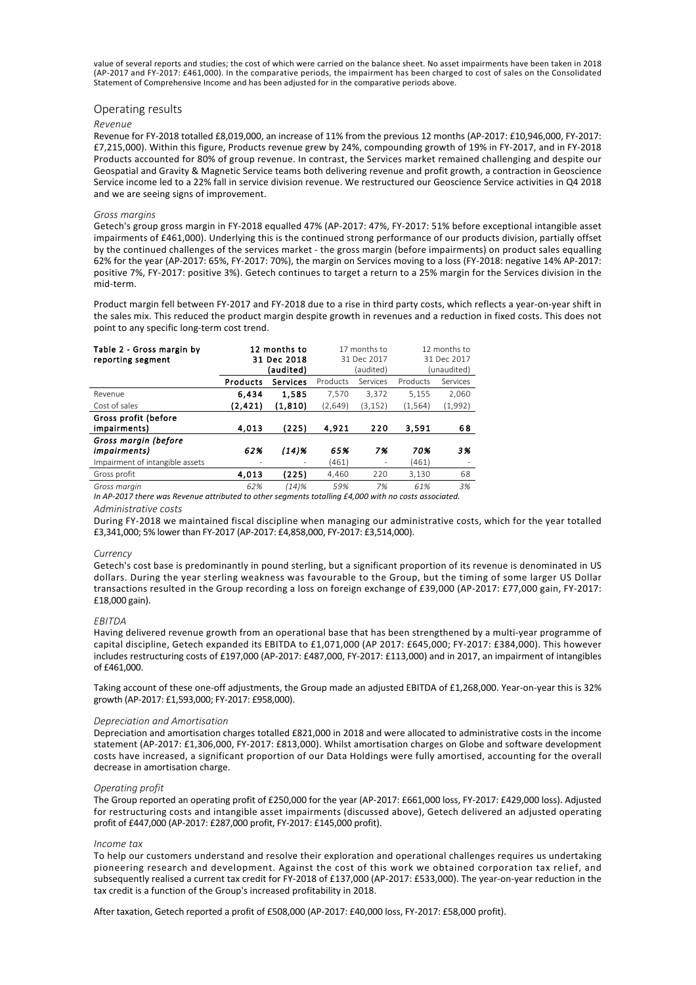value of several reports and studies; the cost of which were carried on the balance sheet. No asset impairments have been taken in 2018 (AP‐2017 and FY‐2017: £461,000). In the comparative periods, the impairment has been charged to cost of sales on the Consolidated Statement of Comprehensive Income and has been adjusted for in the comparative periods above.

#### Operating results

#### *Revenue*

Revenue for FY‐2018 totalled £8,019,000, an increase of 11% from the previous 12 months (AP‐2017: £10,946,000, FY‐2017: £7,215,000). Within this figure, Products revenue grew by 24%, compounding growth of 19% in FY‐2017, and in FY‐2018 Products accounted for 80% of group revenue. In contrast, the Services market remained challenging and despite our Geospatial and Gravity & Magnetic Service teams both delivering revenue and profit growth, a contraction in Geoscience Service income led to a 22% fall in service division revenue. We restructured our Geoscience Service activities in Q4 2018 and we are seeing signs of improvement.

#### *Gross margins*

Getech's group gross margin in FY‐2018 equalled 47% (AP‐2017: 47%, FY‐2017: 51% before exceptional intangible asset impairments of £461,000). Underlying this is the continued strong performance of our products division, partially offset by the continued challenges of the services market ‐ the gross margin (before impairments) on product sales equalling 62% for the year (AP‐2017: 65%, FY‐2017: 70%), the margin on Services moving to a loss (FY‐2018: negative 14% AP‐2017: positive 7%, FY‐2017: positive 3%). Getech continues to target a return to a 25% margin for the Services division in the mid‐term.

Product margin fell between FY‐2017 and FY‐2018 due to a rise in third party costs, which reflects a year‐on‐year shift in the sales mix. This reduced the product margin despite growth in revenues and a reduction in fixed costs. This does not point to any specific long‐term cost trend.

| Table 2 - Gross margin by<br>reporting segment                          | 12 months to<br>31 Dec 2018<br>(audited) |                 | 17 months to<br>31 Dec 2017<br>(audited) |                                    | 12 months to<br>31 Dec 2017<br>(unaudited) |          |
|-------------------------------------------------------------------------|------------------------------------------|-----------------|------------------------------------------|------------------------------------|--------------------------------------------|----------|
|                                                                         | Products                                 | <b>Services</b> | Products                                 | Services                           | Products                                   | Services |
| Revenue                                                                 | 6.434                                    | 1.585           | 7.570                                    | 3,372                              | 5,155                                      | 2,060    |
| Cost of sales                                                           | (2,421)                                  | (1, 810)        | (2,649)                                  | (3, 152)                           | (1, 564)                                   | (1,992)  |
| Gross profit (before<br>impairments)                                    | 4,013                                    | (225)           | 4.921                                    | 220                                | 3.591                                      | 68       |
| Gross margin (before<br>impairments)<br>Impairment of intangible assets | 62%                                      | $(14)$ %        | 65%<br>(461)                             | 7%<br>$\qquad \qquad \blacksquare$ | 70%<br>(461)                               | 3%       |
| Gross profit                                                            | 4.013                                    | (225)           | 4.460                                    | 220                                | 3,130                                      | 68       |
| Gross margin                                                            | 62%                                      | (14)%           | 59%                                      | 7%                                 | 61%                                        | 3%       |

*In AP‐2017 there was Revenue attributed to other segments totalling £4,000 with no costs associated. Administrative costs*

During FY‐2018 we maintained fiscal discipline when managing our administrative costs, which for the year totalled £3,341,000; 5% lower than FY‐2017 (AP‐2017: £4,858,000, FY‐2017: £3,514,000).

#### *Currency*

Getech's cost base is predominantly in pound sterling, but a significant proportion of its revenue is denominated in US dollars. During the year sterling weakness was favourable to the Group, but the timing of some larger US Dollar transactions resulted in the Group recording a loss on foreign exchange of £39,000 (AP‐2017: £77,000 gain, FY‐2017: £18,000 gain).

#### *EBITDA*

Having delivered revenue growth from an operational base that has been strengthened by a multi‐year programme of capital discipline, Getech expanded its EBITDA to £1,071,000 (AP 2017: £645,000; FY-2017: £384,000). This however includes restructuring costs of £197,000 (AP‐2017: £487,000, FY‐2017: £113,000) and in 2017, an impairment of intangibles of £461,000.

Taking account of these one-off adjustments, the Group made an adjusted EBITDA of £1,268,000. Year-on-year this is 32% growth (AP‐2017: £1,593,000; FY‐2017: £958,000).

#### *Depreciation and Amortisation*

Depreciation and amortisation charges totalled £821,000 in 2018 and were allocated to administrative costs in the income statement (AP‐2017: £1,306,000, FY‐2017: £813,000). Whilst amortisation charges on Globe and software development costs have increased, a significant proportion of our Data Holdings were fully amortised, accounting for the overall decrease in amortisation charge.

#### *Operating profit*

The Group reported an operating profit of £250,000 for the year (AP-2017: £661,000 loss, FY-2017: £429,000 loss). Adjusted for restructuring costs and intangible asset impairments (discussed above), Getech delivered an adjusted operating profit of £447,000 (AP‐2017: £287,000 profit, FY‐2017: £145,000 profit).

#### *Income tax*

To help our customers understand and resolve their exploration and operational challenges requires us undertaking pioneering research and development. Against the cost of this work we obtained corporation tax relief, and subsequently realised a current tax credit for FY-2018 of £137,000 (AP-2017: £533,000). The year-on-year reduction in the tax credit is a function of the Group's increased profitability in 2018.

After taxation, Getech reported a profit of £508,000 (AP‐2017: £40,000 loss, FY‐2017: £58,000 profit).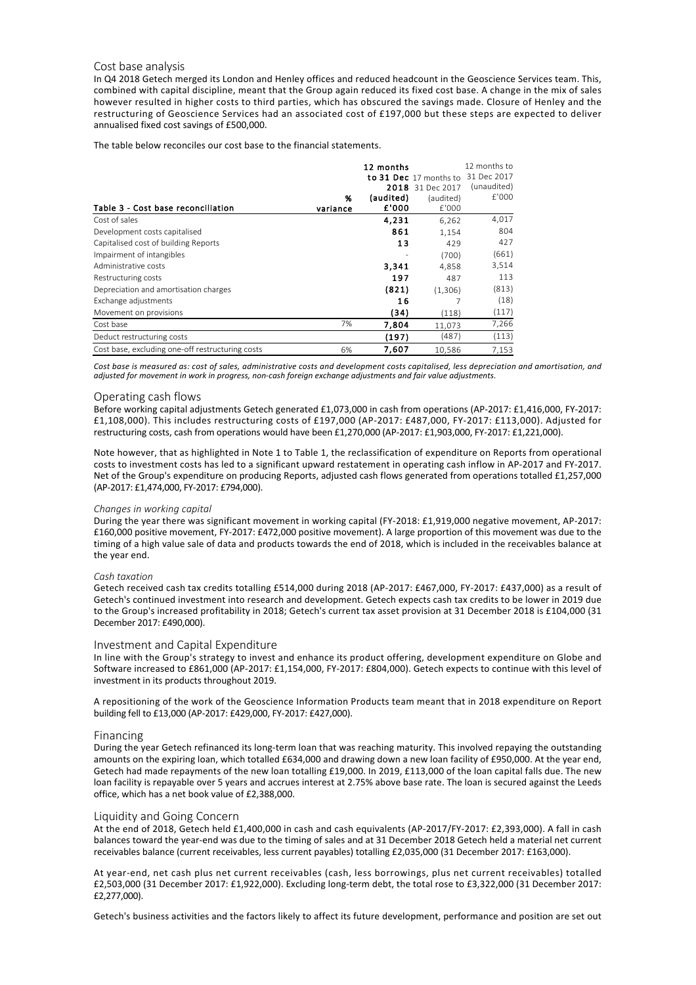#### Cost base analysis

In Q4 2018 Getech merged its London and Henley offices and reduced headcount in the Geoscience Services team. This, combined with capital discipline, meant that the Group again reduced its fixed cost base. A change in the mix of sales however resulted in higher costs to third parties, which has obscured the savings made. Closure of Henley and the restructuring of Geoscience Services had an associated cost of £197,000 but these steps are expected to deliver annualised fixed cost savings of £500,000.

The table below reconciles our cost base to the financial statements.

|                                                  |          | 12 months |                        | 12 months to |
|--------------------------------------------------|----------|-----------|------------------------|--------------|
|                                                  |          |           | to 31 Dec 17 months to | 31 Dec 2017  |
|                                                  |          | 2018      | 31 Dec 2017            | (unaudited)  |
|                                                  | %        | (audited) | (audited)              | f'000        |
| Table 3 - Cost base reconciliation               | variance | £'000     | £'000                  |              |
| Cost of sales                                    |          | 4,231     | 6,262                  | 4,017        |
| Development costs capitalised                    |          | 861       | 1,154                  | 804          |
| Capitalised cost of building Reports             |          | 13        | 429                    | 427          |
| Impairment of intangibles                        |          |           | (700)                  | (661)        |
| Administrative costs                             |          | 3,341     | 4,858                  | 3,514        |
| Restructuring costs                              |          | 197       | 487                    | 113          |
| Depreciation and amortisation charges            |          | (821)     | (1,306)                | (813)        |
| Exchange adjustments                             |          | 16        |                        | (18)         |
| Movement on provisions                           |          | (34)      | (118)                  | (117)        |
| Cost base                                        | 7%       | 7,804     | 11.073                 | 7,266        |
| Deduct restructuring costs                       |          | (197)     | (487)                  | (113)        |
| Cost base, excluding one-off restructuring costs | 6%       | 7,607     | 10,586                 | 7,153        |

*Cost base is measured as: cost of sales, administrative costs and development costs capitalised, less depreciation and amortisation, and adjusted for movement in work in progress, non‐cash foreign exchange adjustments and fair value adjustments.*

#### Operating cash flows

Before working capital adjustments Getech generated £1,073,000 in cash from operations (AP-2017: £1,416,000, FY-2017: £1,108,000). This includes restructuring costs of £197,000 (AP‐2017: £487,000, FY‐2017: £113,000). Adjusted for restructuring costs, cash from operations would have been £1,270,000 (AP‐2017: £1,903,000, FY‐2017: £1,221,000).

Note however, that as highlighted in Note 1 to Table 1, the reclassification of expenditure on Reports from operational costs to investment costs has led to a significant upward restatement in operating cash inflow in AP‐2017 and FY‐2017. Net of the Group's expenditure on producing Reports, adjusted cash flows generated from operations totalled £1,257,000 (AP‐2017: £1,474,000, FY‐2017: £794,000).

#### *Changes in working capital*

During the year there was significant movement in working capital (FY‐2018: £1,919,000 negative movement, AP‐2017: £160,000 positive movement, FY‐2017: £472,000 positive movement). A large proportion of this movement was due to the timing of a high value sale of data and products towards the end of 2018, which is included in the receivables balance at the year end.

#### *Cash taxation*

Getech received cash tax credits totalling £514,000 during 2018 (AP‐2017: £467,000, FY‐2017: £437,000) as a result of Getech's continued investment into research and development. Getech expects cash tax credits to be lower in 2019 due to the Group's increased profitability in 2018; Getech's current tax asset provision at 31 December 2018 is £104,000 (31 December 2017: £490,000).

#### Investment and Capital Expenditure

In line with the Group's strategy to invest and enhance its product offering, development expenditure on Globe and Software increased to £861,000 (AP‐2017: £1,154,000, FY‐2017: £804,000). Getech expects to continue with this level of investment in its products throughout 2019.

A repositioning of the work of the Geoscience Information Products team meant that in 2018 expenditure on Report building fell to £13,000 (AP‐2017: £429,000, FY‐2017: £427,000).

#### Financing

During the year Getech refinanced its long‐term loan that was reaching maturity. This involved repaying the outstanding amounts on the expiring loan, which totalled £634,000 and drawing down a new loan facility of £950,000. At the year end, Getech had made repayments of the new loan totalling £19,000. In 2019, £113,000 of the loan capital falls due. The new loan facility is repayable over 5 years and accrues interest at 2.75% above base rate. The loan is secured against the Leeds office, which has a net book value of £2,388,000.

#### Liquidity and Going Concern

At the end of 2018, Getech held £1,400,000 in cash and cash equivalents (AP‐2017/FY‐2017: £2,393,000). A fall in cash balances toward the year‐end was due to the timing of sales and at 31 December 2018 Getech held a material net current receivables balance (current receivables, less current payables) totalling £2,035,000 (31 December 2017: £163,000).

At year‐end, net cash plus net current receivables (cash, less borrowings, plus net current receivables) totalled £2,503,000 (31 December 2017: £1,922,000). Excluding long‐term debt, the total rose to £3,322,000 (31 December 2017: £2,277,000).

Getech's business activities and the factors likely to affect its future development, performance and position are set out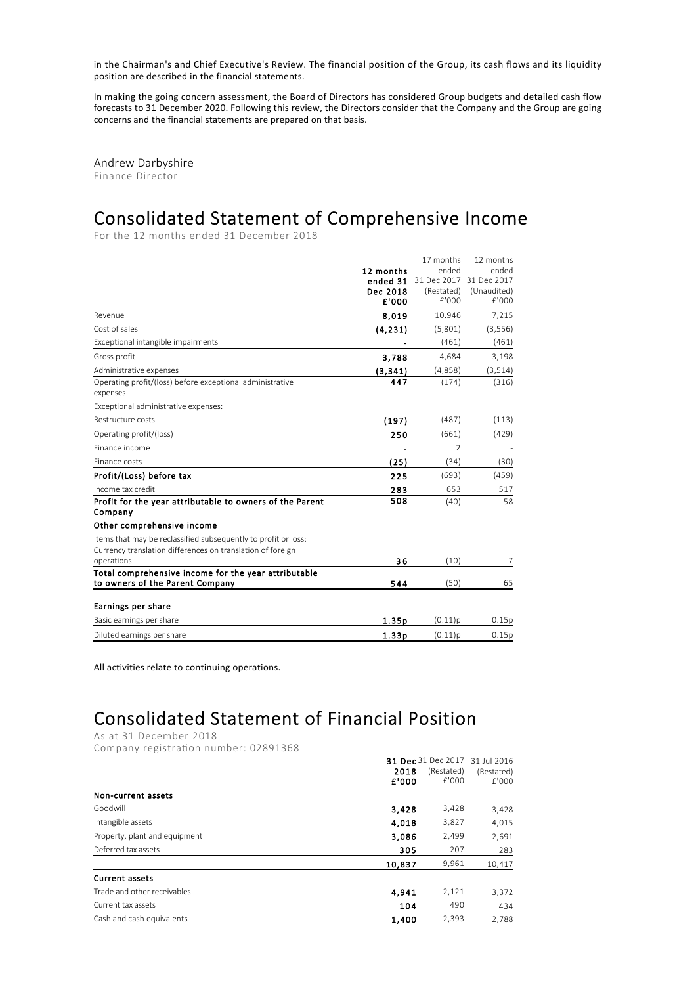in the Chairman's and Chief Executive's Review. The financial position of the Group, its cash flows and its liquidity position are described in the financial statements.

In making the going concern assessment, the Board of Directors has considered Group budgets and detailed cash flow forecasts to 31 December 2020. Following this review, the Directors consider that the Company and the Group are going concerns and the financial statements are prepared on that basis.

Andrew Darbyshire Finance Director

# Consolidated Statement of Comprehensive Income

For the 12 months ended 31 December 2018

|                                                                       |           | 17 months      | 12 months   |
|-----------------------------------------------------------------------|-----------|----------------|-------------|
|                                                                       | 12 months | ended          | ended       |
|                                                                       | ended 31  | 31 Dec 2017    | 31 Dec 2017 |
|                                                                       | Dec 2018  | (Restated)     | (Unaudited) |
|                                                                       | £'000     | f'000          | E'000       |
| Revenue                                                               | 8,019     | 10,946         | 7,215       |
| Cost of sales                                                         | (4, 231)  | (5,801)        | (3,556)     |
| Exceptional intangible impairments                                    |           | (461)          | (461)       |
| Gross profit                                                          | 3,788     | 4,684          | 3,198       |
| Administrative expenses                                               | (3, 341)  | (4,858)        | (3, 514)    |
| Operating profit/(loss) before exceptional administrative<br>expenses | 447       | (174)          | (316)       |
| Exceptional administrative expenses:                                  |           |                |             |
| Restructure costs                                                     | (197)     | (487)          | (113)       |
| Operating profit/(loss)                                               | 250       | (661)          | (429)       |
| Finance income                                                        |           | $\mathfrak{D}$ |             |
| Finance costs                                                         | (25)      | (34)           | (30)        |
| Profit/(Loss) before tax                                              | 225       | (693)          | (459)       |
| Income tax credit                                                     | 283       | 653            | 517         |
| Profit for the year attributable to owners of the Parent<br>Company   | 508       | (40)           | 58          |
| Other comprehensive income                                            |           |                |             |
| Items that may be reclassified subsequently to profit or loss:        |           |                |             |
| Currency translation differences on translation of foreign            |           |                |             |
| operations                                                            | 36        | (10)           | 7           |
| Total comprehensive income for the year attributable                  |           |                |             |
| to owners of the Parent Company                                       | 544       | (50)           | 65          |
| Earnings per share                                                    |           |                |             |
| Basic earnings per share                                              | 1.35p     | (0.11)p        | 0.15p       |
| Diluted earnings per share                                            | 1.33p     | (0.11)p        | 0.15p       |
|                                                                       |           |                |             |

All activities relate to continuing operations.

# Consolidated Statement of Financial Position

As at 31 December 2018

Company registration number: 02891368

|                               |        | 31 Dec 31 Dec 2017<br>31 Jul 2016 |            |  |
|-------------------------------|--------|-----------------------------------|------------|--|
|                               | 2018   | (Restated)                        | (Restated) |  |
|                               | £'000  | £'000                             | E'000      |  |
| Non-current assets            |        |                                   |            |  |
| Goodwill                      | 3,428  | 3,428                             | 3,428      |  |
| Intangible assets             | 4.018  | 3,827                             | 4,015      |  |
| Property, plant and equipment | 3,086  | 2,499                             | 2,691      |  |
| Deferred tax assets           | 305    | 207                               | 283        |  |
|                               | 10,837 | 9,961                             | 10,417     |  |
| <b>Current assets</b>         |        |                                   |            |  |
| Trade and other receivables   | 4,941  | 2,121                             | 3,372      |  |
| Current tax assets            | 104    | 490                               | 434        |  |
| Cash and cash equivalents     | 1,400  | 2,393                             | 2.788      |  |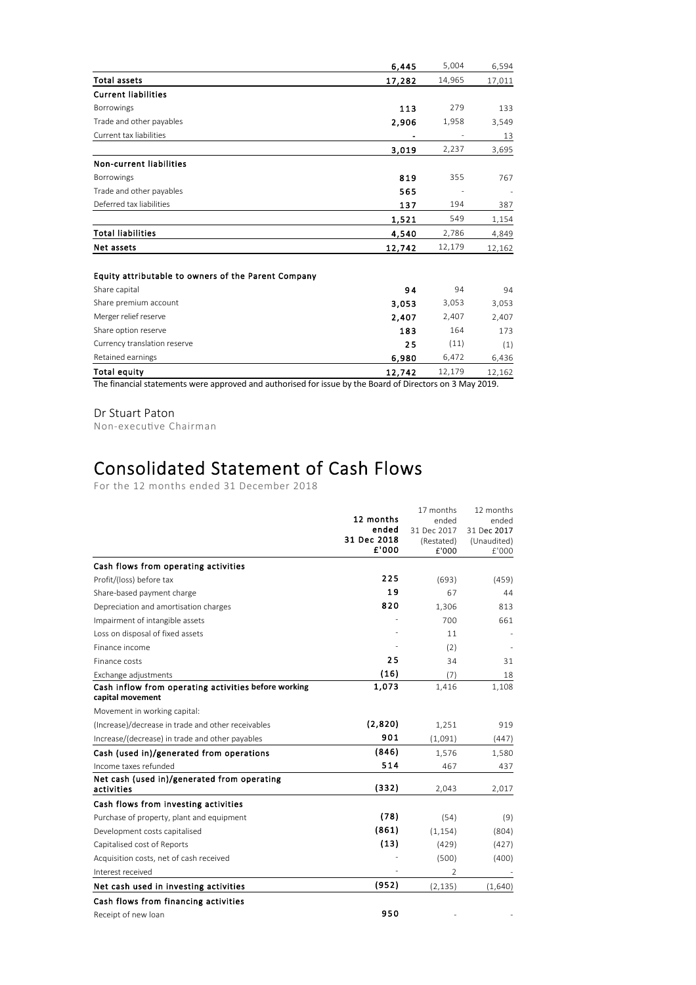|                            | 6.445  | 5,004  | 6,594  |
|----------------------------|--------|--------|--------|
| <b>Total assets</b>        | 17,282 | 14,965 | 17,011 |
| <b>Current liabilities</b> |        |        |        |
| Borrowings                 | 113    | 279    | 133    |
| Trade and other payables   | 2,906  | 1,958  | 3,549  |
| Current tax liabilities    |        |        | 13     |
|                            | 3,019  | 2,237  | 3,695  |
| Non-current liabilities    |        |        |        |
| <b>Borrowings</b>          | 819    | 355    | 767    |
| Trade and other payables   | 565    |        |        |
| Deferred tax liabilities   | 137    | 194    | 387    |
|                            | 1,521  | 549    | 1,154  |
| <b>Total liabilities</b>   | 4,540  | 2,786  | 4,849  |
| Net assets                 | 12,742 | 12,179 | 12,162 |

#### Equity attributable to owners of the Parent Company

| <b>Total equity</b>          | 12,742 | 12.179 | 12,162 |
|------------------------------|--------|--------|--------|
| Retained earnings            | 6,980  | 6.472  | 6,436  |
| Currency translation reserve | 25     | (11)   | (1)    |
| Share option reserve         | 183    | 164    | 173    |
| Merger relief reserve        | 2,407  | 2,407  | 2,407  |
| Share premium account        | 3.053  | 3,053  | 3,053  |
| Share capital                | 94     | 94     | 94     |

The financial statements were approved and authorised for issue by the Board of Directors on 3 May 2019.

Dr Stuart Paton

Non-executive Chairman

# Consolidated Statement of Cash Flows

For the 12 months ended 31 December 2018

|                                                      |                      | 17 months           | 12 months            |
|------------------------------------------------------|----------------------|---------------------|----------------------|
|                                                      | 12 months            | ended               | ended                |
|                                                      | ended                | 31 Dec 2017         | 31 Dec 2017          |
|                                                      | 31 Dec 2018<br>£'000 | (Restated)<br>£'000 | (Unaudited)<br>£'000 |
| Cash flows from operating activities                 |                      |                     |                      |
|                                                      | 225                  |                     |                      |
| Profit/(loss) before tax                             |                      | (693)               | (459)                |
| Share-based payment charge                           | 19                   | 67                  | 44                   |
| Depreciation and amortisation charges                | 820                  | 1,306               | 813                  |
| Impairment of intangible assets                      |                      | 700                 | 661                  |
| Loss on disposal of fixed assets                     |                      | 11                  |                      |
| Finance income                                       |                      | (2)                 |                      |
| Finance costs                                        | 25                   | 34                  | 31                   |
| Exchange adjustments                                 | (16)                 | (7)                 | 18                   |
| Cash inflow from operating activities before working | 1,073                | 1,416               | 1,108                |
| capital movement                                     |                      |                     |                      |
| Movement in working capital:                         |                      |                     |                      |
| (Increase)/decrease in trade and other receivables   | (2,820)              | 1,251               | 919                  |
| Increase/(decrease) in trade and other payables      | 901                  | (1,091)             | (447)                |
| Cash (used in)/generated from operations             | (846)                | 1,576               | 1,580                |
| Income taxes refunded                                | 514                  | 467                 | 437                  |
| Net cash (used in)/generated from operating          | (332)                |                     |                      |
| activities                                           |                      | 2,043               | 2,017                |
| Cash flows from investing activities                 |                      |                     |                      |
| Purchase of property, plant and equipment            | (78)                 | (54)                | (9)                  |
| Development costs capitalised                        | (861)                | (1, 154)            | (804)                |
| Capitalised cost of Reports                          | (13)                 | (429)               | (427)                |
| Acquisition costs, net of cash received              |                      | (500)               | (400)                |
| Interest received                                    |                      | $\overline{2}$      |                      |
| Net cash used in investing activities                | (952)                | (2, 135)            | (1,640)              |
| Cash flows from financing activities                 |                      |                     |                      |
| Receipt of new loan                                  | 950                  |                     |                      |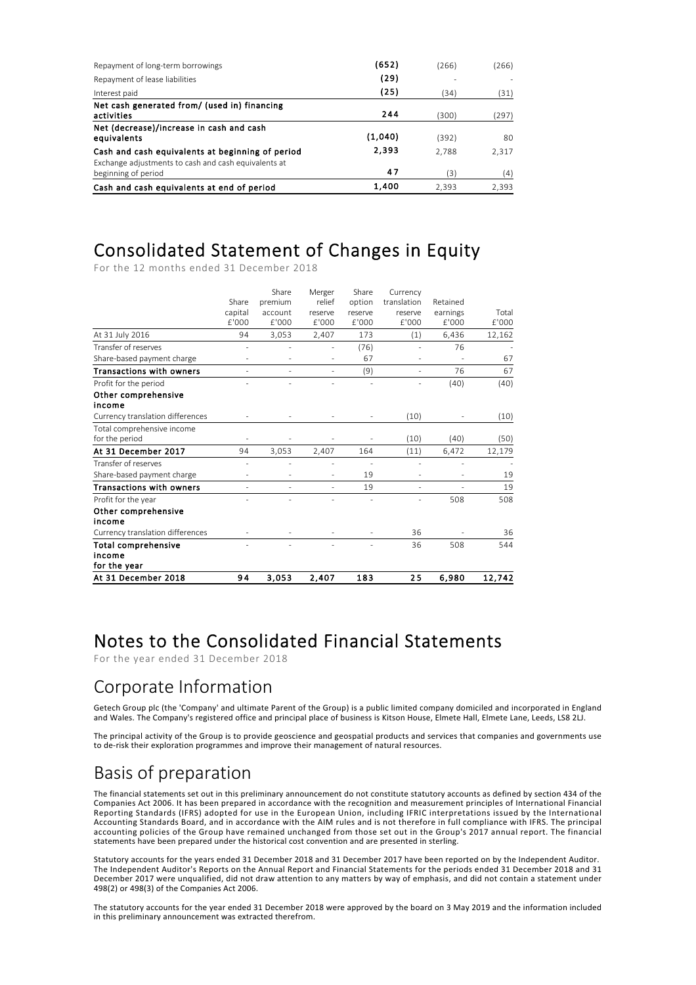| Repayment of long-term borrowings                                                                        | (652)   | (266) | (266) |
|----------------------------------------------------------------------------------------------------------|---------|-------|-------|
| Repayment of lease liabilities                                                                           | (29)    |       |       |
| Interest paid                                                                                            | (25)    | (34)  | (31)  |
| Net cash generated from/ (used in) financing<br>activities                                               | 244     | (300) | (297) |
| Net (decrease)/increase in cash and cash<br>equivalents                                                  | (1.040) | (392) | 80    |
| Cash and cash equivalents at beginning of period<br>Exchange adjustments to cash and cash equivalents at | 2,393   | 2.788 | 2,317 |
| beginning of period                                                                                      | 47      | (3)   | (4)   |
| Cash and cash equivalents at end of period                                                               | 1,400   | 2.393 | 2,393 |

### Consolidated Statement of Changes in Equity

For the 12 months ended 31 December 2018

|       | Share   | Merger                   | Share   | Currency    |          |        |
|-------|---------|--------------------------|---------|-------------|----------|--------|
| Share | premium | relief                   | option  | translation | Retained |        |
|       | account | reserve                  | reserve | reserve     | earnings | Total  |
| f'000 | £'000   | £'000                    | £'000   | £'000       | £'000    | f'000  |
| 94    | 3,053   | 2,407                    | 173     | (1)         | 6,436    | 12,162 |
| ä,    |         | ٠                        | (76)    |             | 76       |        |
|       |         | $\overline{\phantom{m}}$ | 67      |             | ٠        | 67     |
| ٠     | ٠       | ٠                        | (9)     | ٠           | 76       | 67     |
|       |         |                          |         |             | (40)     | (40)   |
|       |         |                          |         |             |          |        |
|       |         |                          |         |             |          |        |
|       |         |                          |         | (10)        |          | (10)   |
|       |         |                          |         |             |          |        |
|       |         |                          |         | (10)        | (40)     | (50)   |
| 94    | 3,053   | 2,407                    | 164     | (11)        | 6,472    | 12,179 |
| ٠     |         | J.                       | ÷,      | ä,          | L,       |        |
| ä,    |         | ٠                        | 19      |             | ٠        | 19     |
| ä,    |         | ٠                        | 19      |             |          | 19     |
|       |         |                          |         |             | 508      | 508    |
|       |         |                          |         |             |          |        |
|       |         |                          |         |             |          |        |
|       |         |                          |         | 36          |          | 36     |
|       |         |                          |         | 36          | 508      | 544    |
|       |         |                          |         |             |          |        |
|       |         |                          |         |             |          |        |
| 94    | 3,053   | 2.407                    | 183     | 25          | 6.980    | 12,742 |
|       | capital |                          |         |             |          |        |

### Notes to the Consolidated Financial Statements

For the year ended 31 December 2018

### Corporate Information

Getech Group plc (the 'Company' and ultimate Parent of the Group) is a public limited company domiciled and incorporated in England and Wales. The Company's registered office and principal place of business is Kitson House, Elmete Hall, Elmete Lane, Leeds, LS8 2LJ.

The principal activity of the Group is to provide geoscience and geospatial products and services that companies and governments use to de‐risk their exploration programmes and improve their management of natural resources.

## Basis of preparation

The financial statements set out in this preliminary announcement do not constitute statutory accounts as defined by section 434 of the Companies Act 2006. It has been prepared in accordance with the recognition and measurement principles of International Financial Reporting Standards (IFRS) adopted for use in the European Union, including IFRIC interpretations issued by the International Accounting Standards Board, and in accordance with the AIM rules and is not therefore in full compliance with IFRS. The principal accounting policies of the Group have remained unchanged from those set out in the Group's 2017 annual report. The financial statements have been prepared under the historical cost convention and are presented in sterling.

Statutory accounts for the years ended 31 December 2018 and 31 December 2017 have been reported on by the Independent Auditor. The Independent Auditor's Reports on the Annual Report and Financial Statements for the periods ended 31 December 2018 and 31 December 2017 were unqualified, did not draw attention to any matters by way of emphasis, and did not contain a statement under 498(2) or 498(3) of the Companies Act 2006.

The statutory accounts for the year ended 31 December 2018 were approved by the board on 3 May 2019 and the information included in this preliminary announcement was extracted therefrom.